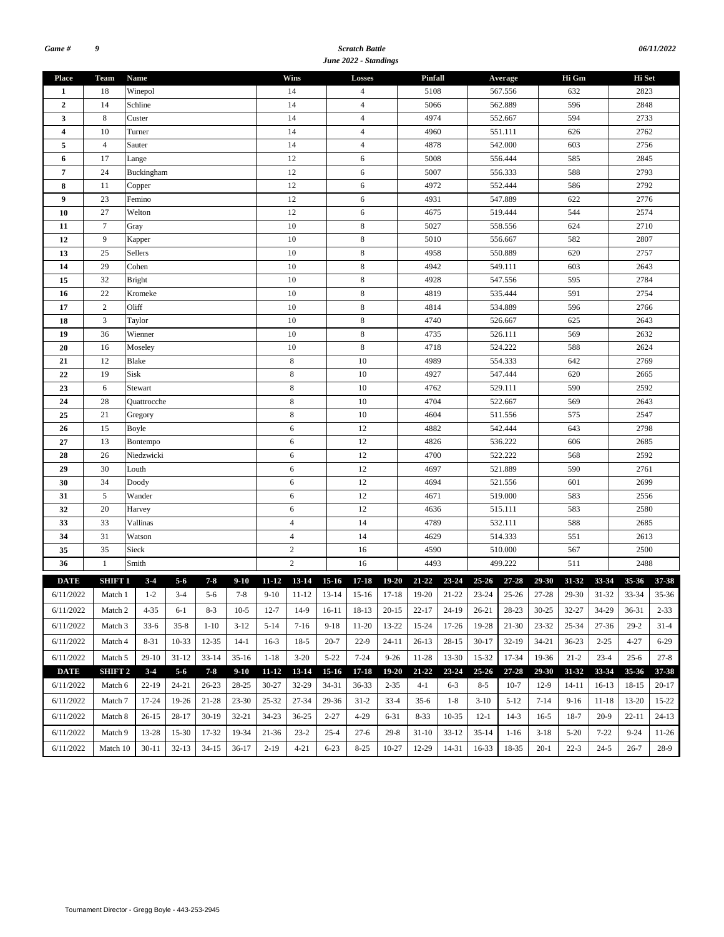#### *Scratch Battle June 2022 - Standings*

| <b>Wins</b><br><b>Team</b><br>Name<br>Pinfall<br>Hi Gm<br>Hi Set<br><b>Place</b><br>Losses<br>Average<br>Winepol<br>632<br>18<br>14<br>5108<br>567.556<br>2823<br>4<br>1<br>Schline<br>2848<br>$\overline{2}$<br>14<br>14<br>$\overline{4}$<br>5066<br>562.889<br>596<br>4974<br>2733<br>3<br>8<br>Custer<br>14<br>$\overline{4}$<br>552.667<br>594<br>14<br>$\overline{4}$<br>10<br>4960<br>551.111<br>2762<br>$\overline{4}$<br>Turner<br>626<br>$\overline{4}$<br>14<br>$\overline{4}$<br>4878<br>542.000<br>2756<br>5<br>Sauter<br>603<br>17<br>12<br>6<br>556.444<br>585<br>2845<br>Lange<br>5008<br>6<br>12<br>2793<br>$\pmb{7}$<br>24<br>Buckingham<br>6<br>5007<br>556.333<br>588<br>12<br>552.444<br>2792<br>8<br>11<br>6<br>4972<br>586<br>Copper<br>12<br>23<br>6<br>547.889<br>622<br>2776<br>9<br>Femino<br>4931<br>12<br>27<br>Welton<br>6<br>544<br>2574<br>4675<br>519.444<br>10<br>$\tau$<br>10<br>$\,$ 8 $\,$<br>2710<br>5027<br>624<br>11<br>Gray<br>558.556<br>9<br>10<br>8<br>582<br>12<br>5010<br>556.667<br>2807<br>Kapper |
|---------------------------------------------------------------------------------------------------------------------------------------------------------------------------------------------------------------------------------------------------------------------------------------------------------------------------------------------------------------------------------------------------------------------------------------------------------------------------------------------------------------------------------------------------------------------------------------------------------------------------------------------------------------------------------------------------------------------------------------------------------------------------------------------------------------------------------------------------------------------------------------------------------------------------------------------------------------------------------------------------------------------------------------------------|
|                                                                                                                                                                                                                                                                                                                                                                                                                                                                                                                                                                                                                                                                                                                                                                                                                                                                                                                                                                                                                                                   |
|                                                                                                                                                                                                                                                                                                                                                                                                                                                                                                                                                                                                                                                                                                                                                                                                                                                                                                                                                                                                                                                   |
|                                                                                                                                                                                                                                                                                                                                                                                                                                                                                                                                                                                                                                                                                                                                                                                                                                                                                                                                                                                                                                                   |
|                                                                                                                                                                                                                                                                                                                                                                                                                                                                                                                                                                                                                                                                                                                                                                                                                                                                                                                                                                                                                                                   |
|                                                                                                                                                                                                                                                                                                                                                                                                                                                                                                                                                                                                                                                                                                                                                                                                                                                                                                                                                                                                                                                   |
|                                                                                                                                                                                                                                                                                                                                                                                                                                                                                                                                                                                                                                                                                                                                                                                                                                                                                                                                                                                                                                                   |
|                                                                                                                                                                                                                                                                                                                                                                                                                                                                                                                                                                                                                                                                                                                                                                                                                                                                                                                                                                                                                                                   |
|                                                                                                                                                                                                                                                                                                                                                                                                                                                                                                                                                                                                                                                                                                                                                                                                                                                                                                                                                                                                                                                   |
|                                                                                                                                                                                                                                                                                                                                                                                                                                                                                                                                                                                                                                                                                                                                                                                                                                                                                                                                                                                                                                                   |
|                                                                                                                                                                                                                                                                                                                                                                                                                                                                                                                                                                                                                                                                                                                                                                                                                                                                                                                                                                                                                                                   |
|                                                                                                                                                                                                                                                                                                                                                                                                                                                                                                                                                                                                                                                                                                                                                                                                                                                                                                                                                                                                                                                   |
|                                                                                                                                                                                                                                                                                                                                                                                                                                                                                                                                                                                                                                                                                                                                                                                                                                                                                                                                                                                                                                                   |
|                                                                                                                                                                                                                                                                                                                                                                                                                                                                                                                                                                                                                                                                                                                                                                                                                                                                                                                                                                                                                                                   |
| Sellers<br>10<br>8<br>4958<br>2757<br>13<br>25<br>550.889<br>620                                                                                                                                                                                                                                                                                                                                                                                                                                                                                                                                                                                                                                                                                                                                                                                                                                                                                                                                                                                  |
| 10<br>$\,$ 8 $\,$<br>29<br>Cohen<br>4942<br>549.111<br>603<br>2643<br>14                                                                                                                                                                                                                                                                                                                                                                                                                                                                                                                                                                                                                                                                                                                                                                                                                                                                                                                                                                          |
| 32<br>10<br>8<br>4928<br>547.556<br>595<br>2784<br>15<br><b>Bright</b>                                                                                                                                                                                                                                                                                                                                                                                                                                                                                                                                                                                                                                                                                                                                                                                                                                                                                                                                                                            |
| 22<br>$\,$ 8 $\,$<br>2754<br>Kromeke<br>10<br>4819<br>535.444<br>591<br>16                                                                                                                                                                                                                                                                                                                                                                                                                                                                                                                                                                                                                                                                                                                                                                                                                                                                                                                                                                        |
| $\sqrt{2}$<br>10<br>$\,$ 8 $\,$<br>2766<br>17<br>Oliff<br>4814<br>534.889<br>596                                                                                                                                                                                                                                                                                                                                                                                                                                                                                                                                                                                                                                                                                                                                                                                                                                                                                                                                                                  |
| 3<br>10<br>8<br>2643<br>18<br>Taylor<br>4740<br>526.667<br>625                                                                                                                                                                                                                                                                                                                                                                                                                                                                                                                                                                                                                                                                                                                                                                                                                                                                                                                                                                                    |
| 36<br>$\,$ 8 $\,$<br>Wienner<br>10<br>569<br>2632<br>19<br>4735<br>526.111                                                                                                                                                                                                                                                                                                                                                                                                                                                                                                                                                                                                                                                                                                                                                                                                                                                                                                                                                                        |
| $\,$ 8 $\,$<br>20<br>16<br>10<br>4718<br>524.222<br>588<br>2624<br>Moseley                                                                                                                                                                                                                                                                                                                                                                                                                                                                                                                                                                                                                                                                                                                                                                                                                                                                                                                                                                        |
| 12<br>$\,$ 8 $\,$<br>10<br>642<br>2769<br>Blake<br>4989<br>554.333<br>21                                                                                                                                                                                                                                                                                                                                                                                                                                                                                                                                                                                                                                                                                                                                                                                                                                                                                                                                                                          |
| 19<br>Sisk<br>8<br>10<br>22<br>4927<br>547.444<br>620<br>2665                                                                                                                                                                                                                                                                                                                                                                                                                                                                                                                                                                                                                                                                                                                                                                                                                                                                                                                                                                                     |
| 8<br>10<br>23<br>4762<br>529.111<br>590<br>2592<br>6<br>Stewart                                                                                                                                                                                                                                                                                                                                                                                                                                                                                                                                                                                                                                                                                                                                                                                                                                                                                                                                                                                   |
| $\,$ 8 $\,$<br>10<br>28<br>4704<br>522.667<br>2643<br>24<br>569<br>Quattrocche                                                                                                                                                                                                                                                                                                                                                                                                                                                                                                                                                                                                                                                                                                                                                                                                                                                                                                                                                                    |
| 25<br>8<br>21<br>10<br>4604<br>511.556<br>575<br>2547<br>Gregory                                                                                                                                                                                                                                                                                                                                                                                                                                                                                                                                                                                                                                                                                                                                                                                                                                                                                                                                                                                  |
| 12<br>2798<br>15<br>6<br>4882<br>542.444<br>643<br>26<br>Boyle                                                                                                                                                                                                                                                                                                                                                                                                                                                                                                                                                                                                                                                                                                                                                                                                                                                                                                                                                                                    |
| 12<br>27<br>13<br>6<br>4826<br>536.222<br>606<br>2685<br>Bontempo                                                                                                                                                                                                                                                                                                                                                                                                                                                                                                                                                                                                                                                                                                                                                                                                                                                                                                                                                                                 |
| 12<br>522.222<br>28<br>26<br>Niedzwicki<br>6<br>4700<br>568<br>2592                                                                                                                                                                                                                                                                                                                                                                                                                                                                                                                                                                                                                                                                                                                                                                                                                                                                                                                                                                               |
| 12<br>30<br>6<br>521.889<br>590<br>2761<br>29<br>Louth<br>4697                                                                                                                                                                                                                                                                                                                                                                                                                                                                                                                                                                                                                                                                                                                                                                                                                                                                                                                                                                                    |
| 30<br>34<br>6<br>12<br>2699<br>4694<br>521.556<br>601<br>Doody                                                                                                                                                                                                                                                                                                                                                                                                                                                                                                                                                                                                                                                                                                                                                                                                                                                                                                                                                                                    |
| $\sqrt{5}$<br>12<br>2556<br>6<br>4671<br>519.000<br>583<br>31<br>Wander                                                                                                                                                                                                                                                                                                                                                                                                                                                                                                                                                                                                                                                                                                                                                                                                                                                                                                                                                                           |
| 12<br>32<br>20<br>6<br>4636<br>515.111<br>583<br>2580<br>Harvey                                                                                                                                                                                                                                                                                                                                                                                                                                                                                                                                                                                                                                                                                                                                                                                                                                                                                                                                                                                   |
| 14<br>33<br>33<br>Vallinas<br>$\overline{4}$<br>4789<br>532.111<br>588<br>2685                                                                                                                                                                                                                                                                                                                                                                                                                                                                                                                                                                                                                                                                                                                                                                                                                                                                                                                                                                    |
| 31<br>$\overline{4}$<br>14<br>Watson<br>4629<br>514.333<br>551<br>2613<br>34                                                                                                                                                                                                                                                                                                                                                                                                                                                                                                                                                                                                                                                                                                                                                                                                                                                                                                                                                                      |
| 35<br>35<br>$\overline{c}$<br>16<br>Sieck<br>4590<br>510.000<br>567<br>2500                                                                                                                                                                                                                                                                                                                                                                                                                                                                                                                                                                                                                                                                                                                                                                                                                                                                                                                                                                       |
| $\overline{c}$<br>511<br>36<br>$\mathbf{1}$<br>Smith<br>16<br>4493<br>499.222<br>2488                                                                                                                                                                                                                                                                                                                                                                                                                                                                                                                                                                                                                                                                                                                                                                                                                                                                                                                                                             |
| $3 - 4$<br>$11-12$ 13-14<br>15-16 17-18<br>19-20 21-22 23-24 25-26 27-28<br>$29 - 30$<br>33-34<br>$5 - 6$<br>$7 - 8$<br>$9-10$<br>31-32<br>$35 - 36$<br>37-38<br><b>DATE</b><br>SHIFT 1                                                                                                                                                                                                                                                                                                                                                                                                                                                                                                                                                                                                                                                                                                                                                                                                                                                           |
| 7-8 9-10 11-12 13-14 15-16 17-18 19-20 21-22 23-24 25-26 27-28 29-30 31-32<br>$6/11/2022$ Match 1 1-2 3-4 5-6<br>33-34<br>35-36                                                                                                                                                                                                                                                                                                                                                                                                                                                                                                                                                                                                                                                                                                                                                                                                                                                                                                                   |
| $22 - 17$<br>28-23<br>$30 - 25$<br>32-27<br>34-29<br>$2 - 33$<br>6/11/2022<br>4-35<br>6-1<br>$8-3$<br>$10-5$<br>$12 - 7$<br>14-9<br>16-11<br>18-13<br>$20-15$<br>24-19<br>26-21<br>36-31<br>Match 2                                                                                                                                                                                                                                                                                                                                                                                                                                                                                                                                                                                                                                                                                                                                                                                                                                               |
| 6/11/2022<br>$33-6$<br>$35 - 8$<br>$3-12$<br>$5-14$<br>$7-16$<br>$9-18$<br>$11-20$<br>13-22<br>$15 - 24$<br>17-26<br>19-28<br>$21-30$<br>$23 - 32$<br>$25 - 34$<br>27-36<br>$29-2$<br>Match 3<br>$1 - 10$<br>$31-4$                                                                                                                                                                                                                                                                                                                                                                                                                                                                                                                                                                                                                                                                                                                                                                                                                               |
| 6/11/2022<br>8-31<br>10-33<br>12-35<br>$14-1$<br>$16-3$<br>$18-5$<br>$20 - 7$<br>$22-9$<br>$24 - 11$<br>$26-13$<br>$28-15$<br>$30-17$<br>$32-19$<br>$34 - 21$<br>$36 - 23$<br>$2 - 25$<br>$4 - 27$<br>$6 - 29$<br>Match 4                                                                                                                                                                                                                                                                                                                                                                                                                                                                                                                                                                                                                                                                                                                                                                                                                         |
|                                                                                                                                                                                                                                                                                                                                                                                                                                                                                                                                                                                                                                                                                                                                                                                                                                                                                                                                                                                                                                                   |
| 6/11/2022<br>$29-10$<br>$31 - 12$<br>$35-16$<br>$3-20$<br>$5 - 22$<br>$7 - 24$<br>11-28<br>13-30<br>15-32<br>19-36<br>$21 - 2$<br>$23-4$<br>Match 5<br>$33 - 14$<br>$1 - 18$<br>$9 - 26$<br>17-34<br>$25 - 6$<br>$27 - 8$                                                                                                                                                                                                                                                                                                                                                                                                                                                                                                                                                                                                                                                                                                                                                                                                                         |
| $5 - 6$<br>$7 - 8$<br>13-14<br>$15-16$<br>$23 - 24$<br>$25 - 26$<br>33-34<br><b>DATE</b><br>SHIFT 2<br>$3 - 4$<br>$9-10$<br>$11 - 12$<br>$17 - 18$<br>$19 - 20$<br>$21 - 22$<br>$27 - 28$<br>29-30<br>31-32<br>35-36<br>37-38                                                                                                                                                                                                                                                                                                                                                                                                                                                                                                                                                                                                                                                                                                                                                                                                                     |
| 24-21<br>26-23<br>30-27<br>32-29<br>34-31<br>$36 - 33$<br>$14 - 11$<br>$16-13$<br>$20-17$<br>6/11/2022<br>Match 6<br>22-19<br>28-25<br>$2 - 35$<br>4-1<br>6-3<br>$8-5$<br>$10-7$<br>$12-9$<br>18-15                                                                                                                                                                                                                                                                                                                                                                                                                                                                                                                                                                                                                                                                                                                                                                                                                                               |
| 19-26<br>25-32<br>27-34<br>29-36<br>6/11/2022<br>17-24<br>21-28<br>$23 - 30$<br>$31-2$<br>$33-4$<br>$35-6$<br>$1 - 8$<br>$5-12$<br>$7 - 14$<br>$9-16$<br>$11 - 18$<br>13-20<br>$15 - 22$<br>Match 7<br>$3-10$                                                                                                                                                                                                                                                                                                                                                                                                                                                                                                                                                                                                                                                                                                                                                                                                                                     |
| 6/11/2022<br>34-23<br>$36 - 25$<br>$2 - 27$<br>$8 - 33$<br>$10-35$<br>$18-7$<br>$22 - 11$<br>Match 8<br>$26-15$<br>28-17<br>$30-19$<br>32-21<br>4-29<br>6-31<br>$12-1$<br>$14-3$<br>$16-5$<br>$20-9$<br>$24-13$                                                                                                                                                                                                                                                                                                                                                                                                                                                                                                                                                                                                                                                                                                                                                                                                                                   |
| 6/11/2022<br>13-28<br>15-30<br>19-34<br>21-36<br>$23 - 2$<br>$27-6$<br>$31-10$<br>$33-12$<br>$35 - 14$<br>$5 - 20$<br>$7 - 22$<br>$9 - 24$<br>Match 9<br>17-32<br>$25 - 4$<br>$29-8$<br>$1-16$<br>$3-18$<br>11-26                                                                                                                                                                                                                                                                                                                                                                                                                                                                                                                                                                                                                                                                                                                                                                                                                                 |
| $4 - 21$<br>12-29<br>$22 - 3$<br>6/11/2022<br>$30 - 11$<br>$32 - 13$<br>$34 - 15$<br>$36-17$<br>$2-19$<br>$6 - 23$<br>$8 - 25$<br>10-27<br>14-31<br>16-33<br>18-35<br>$20-1$<br>$24 - 5$<br>$26 - 7$<br>$28-9$<br>Match 10                                                                                                                                                                                                                                                                                                                                                                                                                                                                                                                                                                                                                                                                                                                                                                                                                        |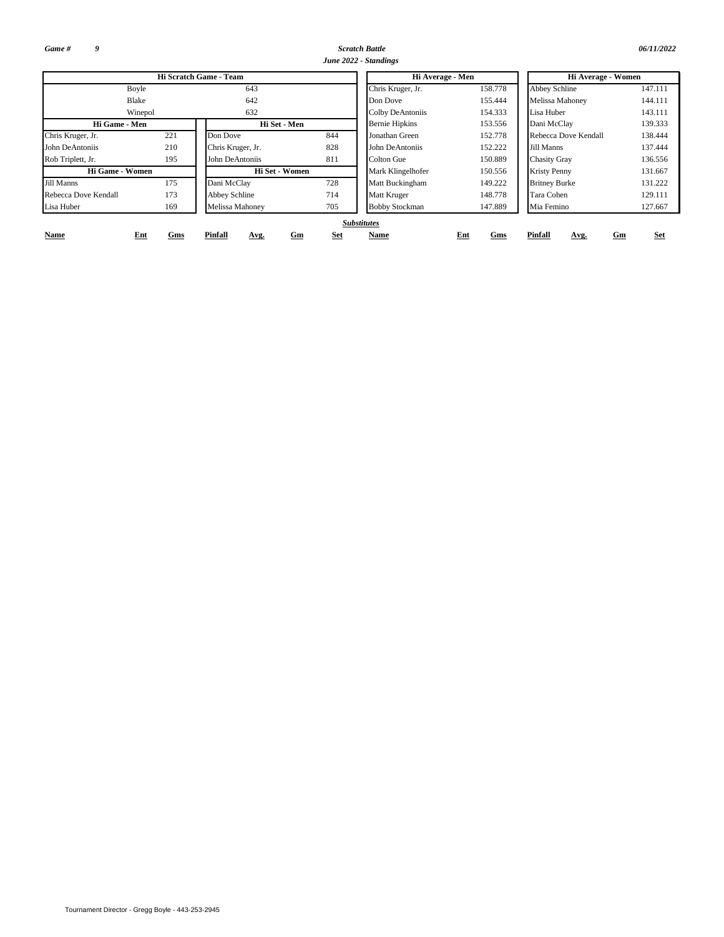*Game # 9*

*Scratch Battle 06/11/2022 June 2022 - Standings*

|                      |            | Hi Scratch Game - Team |                  | Hi Average - Men      |            | Hi Average - Women    |            |  |  |  |  |
|----------------------|------------|------------------------|------------------|-----------------------|------------|-----------------------|------------|--|--|--|--|
| Boyle                |            | 643                    |                  | Chris Kruger, Jr.     | 158.778    | Abbey Schline         | 147.111    |  |  |  |  |
| Blake                |            | 642                    |                  | Don Dove              | 155.444    | Melissa Mahoney       | 144.111    |  |  |  |  |
|                      | Winepol    | 632                    |                  | Colby DeAntoniis      | 154.333    | Lisa Huber            | 143.111    |  |  |  |  |
| Hi Game - Men        |            |                        | Hi Set - Men     | <b>Bernie Hipkins</b> | 153.556    | Dani McClay           | 139.333    |  |  |  |  |
| Chris Kruger, Jr.    | 221        | Don Dove               | 844              | Jonathan Green        | 152.778    | Rebecca Dove Kendall  | 138.444    |  |  |  |  |
| John DeAntoniis      | 210        | Chris Kruger, Jr.      | 828              | John DeAntoniis       | 152.222    | Jill Manns            | 137.444    |  |  |  |  |
| Rob Triplett, Jr.    | 195        | John DeAntoniis        | 811              | Colton Gue            | 150.889    | <b>Chasity Gray</b>   | 136.556    |  |  |  |  |
| Hi Game - Women      |            |                        | Hi Set - Women   | Mark Klingelhofer     | 150.556    | <b>Kristy Penny</b>   | 131.667    |  |  |  |  |
| Jill Manns           | 175        | Dani McClay            | 728              | Matt Buckingham       | 149.222    | <b>Britney Burke</b>  | 131.222    |  |  |  |  |
| Rebecca Dove Kendall | 173        | Abbey Schline          | 714              | Matt Kruger           | 148.778    | Tara Cohen            | 129.111    |  |  |  |  |
| Lisa Huber           | 169        | Melissa Mahoney        | 705              | <b>Bobby Stockman</b> | 147.889    | Mia Femino            | 127.667    |  |  |  |  |
|                      |            |                        |                  | <b>Substitutes</b>    |            |                       |            |  |  |  |  |
| Name                 | Ent<br>Gms | Pinfall<br>Avg.        | <b>Set</b><br>Gm | Name                  | Ent<br>Gms | Pinfall<br>Gm<br>Avg. | <b>Set</b> |  |  |  |  |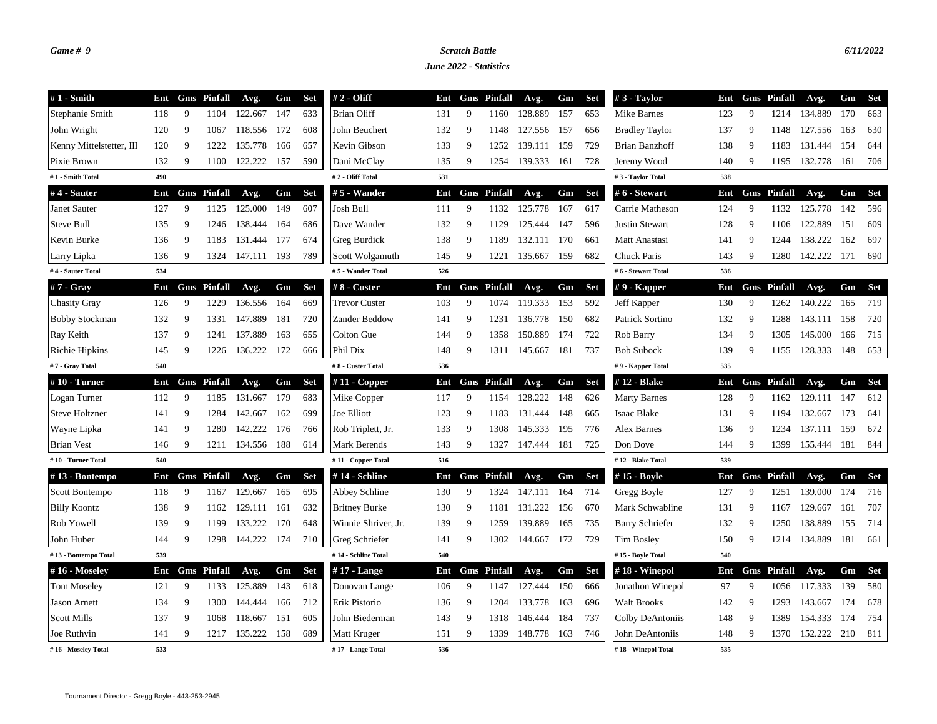## *Game # 9 Scratch Battle 6/11/2022*

*June 2022 - Statistics*

| $#1$ - Smith             | Ent |   | <b>Gms</b> Pinfall | Avg.    | Gm  | <b>Set</b> | $# 2 - Oliff$        | Ent |   | <b>Gms</b> Pinfall | Avg.        | Gm    | <b>Set</b> | $#3$ - Taylor          | Ent |    | <b>Gms</b> Pinfall | Avg.    | Gm   | <b>Set</b> |
|--------------------------|-----|---|--------------------|---------|-----|------------|----------------------|-----|---|--------------------|-------------|-------|------------|------------------------|-----|----|--------------------|---------|------|------------|
| Stephanie Smith          | 118 | 9 | 1104               | 122.667 | 147 | 633        | <b>Brian Oliff</b>   | 131 | 9 | 1160               | 128.889     | 157   | 653        | Mike Barnes            | 123 | 9  | 1214               | 134.889 | 170  | 663        |
| John Wright              | 120 | 9 | 1067               | 118.556 | 172 | 608        | John Beuchert        | 132 | 9 | 1148               | 127.556     | 157   | 656        | <b>Bradley Taylor</b>  | 137 | -9 | 1148               | 127.556 | 163  | 630        |
| Kenny Mittelstetter, III | 120 | 9 | 1222               | 135.778 | 166 | 657        | Kevin Gibson         | 133 | 9 | 1252               | 139.111     | - 159 | 729        | Brian Banzhoff         | 138 | 9  | 1183               | 131.444 | 154  | 644        |
| Pixie Brown              | 132 | 9 | 1100               | 122.222 | 157 | 590        | Dani McClay          | 135 | 9 | 1254               | 139.333     | 161   | 728        | Jeremy Wood            | 140 | 9  | 1195               | 132.778 | 161  | 706        |
| #1 - Smith Total         | 490 |   |                    |         |     |            | #2 - Oliff Total     | 531 |   |                    |             |       |            | #3 - Taylor Total      | 538 |    |                    |         |      |            |
| #4 - Sauter              | Ent |   | <b>Gms</b> Pinfall | Avg.    | Gm  | <b>Set</b> | $# 5 - Wander$       | Ent |   | <b>Gms</b> Pinfall | Avg.        | Gm    | <b>Set</b> | #6 - Stewart           | Ent |    | <b>Gms</b> Pinfall | Avg.    | Gm   | <b>Set</b> |
| Janet Sauter             | 127 | 9 | 1125               | 125.000 | 149 | 607        | Josh Bull            | 111 | 9 | 1132               | 125.778     | 167   | 617        | Carrie Matheson        | 124 | 9  | 1132               | 125.778 | 142  | 596        |
| Steve Bull               | 135 | 9 | 1246               | 138.444 | 164 | 686        | Dave Wander          | 132 | 9 | 1129               | 125.444     | 147   | 596        | <b>Justin Stewart</b>  | 128 | -9 | 1106               | 122.889 | 151  | 609        |
| Kevin Burke              | 136 | 9 | 1183               | 131.444 | 177 | 674        | Greg Burdick         | 138 | 9 | 1189               | 132.111 170 |       | 661        | Matt Anastasi          | 141 | 9  | 1244               | 138.222 | 162  | 697        |
| Larry Lipka              | 136 | 9 | 1324               | 147.111 | 193 | 789        | Scott Wolgamuth      | 145 | 9 | 1221               | 135.667     | 159   | 682        | Chuck Paris            | 143 | 9  | 1280               | 142.222 | 171  | 690        |
| #4 - Sauter Total        | 534 |   |                    |         |     |            | #5 - Wander Total    | 526 |   |                    |             |       |            | #6 - Stewart Total     | 536 |    |                    |         |      |            |
| #7 - Gray                | Ent |   | <b>Gms</b> Pinfall | Avg.    | Gm  | <b>Set</b> | #8 - Custer          | Ent |   | <b>Gms</b> Pinfall | Avg.        | Gm    | Set        | $# 9$ - Kapper         | Ent |    | <b>Gms</b> Pinfall | Avg.    | Gm   | Set        |
| <b>Chasity Gray</b>      | 126 | 9 | 1229               | 136.556 | 164 | 669        | <b>Trevor Custer</b> | 103 | 9 | 1074               | 119.333     | 153   | 592        | Jeff Kapper            | 130 | 9  | 1262               | 140.222 | 165  | 719        |
| <b>Bobby Stockman</b>    | 132 | 9 | 1331               | 147.889 | 181 | 720        | Zander Beddow        | 141 | 9 | 1231               | 136.778     | 150   | 682        | Patrick Sortino        | 132 | -9 | 1288               | 143.111 | 158  | 720        |
| Ray Keith                | 137 | 9 | 1241               | 137.889 | 163 | 655        | Colton Gue           | 144 | 9 | 1358               | 150.889     | 174   | 722        | Rob Barry              | 134 | 9  | 1305               | 145.000 | 166  | 715        |
| Richie Hipkins           | 145 | 9 | 1226               | 136.222 | 172 | 666        | Phil Dix             | 148 | 9 | 1311               | 145.667     | 181   | 737        | <b>Bob Subock</b>      | 139 | 9  | 1155               | 128.333 | 148  | 653        |
| #7 - Gray Total          | 540 |   |                    |         |     |            | #8 - Custer Total    | 536 |   |                    |             |       |            | #9 - Kapper Total      | 535 |    |                    |         |      |            |
| #10 - Turner             | Ent |   | <b>Gms</b> Pinfall | Avg.    | Gm  | <b>Set</b> | # $11$ - Copper      | Ent |   | <b>Gms</b> Pinfall | Avg.        | Gm    | <b>Set</b> | #12 - Blake            | Ent |    | <b>Gms</b> Pinfall | Avg.    | Gm   | <b>Set</b> |
| Logan Turner             | 112 | 9 | 1185               | 131.667 | 179 | 683        | Mike Copper          | 117 | 9 | 1154               | 128.222     | 148   | 626        | <b>Marty Barnes</b>    | 128 | 9  | 1162               | 129.111 | 147  | 612        |
| <b>Steve Holtzner</b>    | 141 | 9 | 1284               | 142.667 | 162 | 699        | Joe Elliott          | 123 | 9 | 1183               | 131.444     | 148   | 665        | <b>Isaac Blake</b>     | 131 | 9  | 1194               | 132.667 | 173  | 641        |
| Wayne Lipka              | 141 | 9 | 1280               | 142.222 | 176 | 766        | Rob Triplett, Jr.    | 133 | 9 | 1308               | 145.333     | 195   | 776        | Alex Barnes            | 136 | 9  | 1234               | 137.111 | 159  | 672        |
| <b>Brian Vest</b>        | 146 | 9 | 1211               | 134.556 | 188 | 614        | Mark Berends         | 143 | 9 | 1327               | 147.444 181 |       | 725        | Don Dove               | 144 | 9  | 1399               | 155.444 | 181  | 844        |
| #10 - Turner Total       | 540 |   |                    |         |     |            | #11 - Copper Total   | 516 |   |                    |             |       |            | #12 - Blake Total      | 539 |    |                    |         |      |            |
| #13 - Bontempo           | Ent |   | <b>Gms</b> Pinfall | Avg.    | Gm  | <b>Set</b> | #14 - Schline        | Ent |   | <b>Gms</b> Pinfall | Avg.        | Gm    | <b>Set</b> | #15 - Boyle            | Ent |    | <b>Gms</b> Pinfall | Avg.    | Gm   | <b>Set</b> |
| Scott Bontempo           | 118 | 9 | 1167               | 129.667 | 165 | 695        | Abbey Schline        | 130 | 9 | 1324               | 147.111 164 |       | 714        | Gregg Boyle            | 127 | 9  | 1251               | 139.000 | 174  | 716        |
| <b>Billy Koontz</b>      | 138 | 9 | 1162               | 129.111 | 161 | 632        | <b>Britney Burke</b> | 130 | 9 | 1181               | 131.222     | 156   | 670        | Mark Schwabline        | 131 | -9 | 1167               | 129.667 | 161  | 707        |
| Rob Yowell               | 139 | 9 | 1199               | 133.222 | 170 | 648        | Winnie Shriver, Jr.  | 139 | 9 | 1259               | 139.889     | 165   | 735        | <b>Barry Schriefer</b> | 132 | -9 | 1250               | 138.889 | 155  | 714        |
| John Huber               | 144 | 9 | 1298               | 144.222 | 174 | 710        | Greg Schriefer       | 141 | 9 | 1302               | 144.667     | 172   | 729        | <b>Tim Bosley</b>      | 150 | 9  | 1214               | 134.889 | 181  | 661        |
| #13 - Bontempo Total     | 539 |   |                    |         |     |            | #14 - Schline Total  | 540 |   |                    |             |       |            | #15 - Boyle Total      | 540 |    |                    |         |      |            |
| #16 - Moseley            | Ent |   | <b>Gms</b> Pinfall | Avg.    | Gm  | <b>Set</b> | $#17$ - Lange        | Ent |   | <b>Gms</b> Pinfall | Avg.        | Gm    | <b>Set</b> | $#18$ - Winepol        | Ent |    | <b>Gms</b> Pinfall | Avg.    | Gm   | <b>Set</b> |
| <b>Tom Moseley</b>       | 121 | 9 | 1133               | 125.889 | 143 | 618        | Donovan Lange        | 106 | 9 | 1147               | 127.444     | 150   | 666        | Jonathon Winepol       | 97  | 9  | 1056               | 117.333 | 139  | 580        |
| <b>Jason Arnett</b>      | 134 | 9 | 1300               | 144.444 | 166 | 712        | Erik Pistorio        | 136 | 9 | 1204               | 133.778     | 163   | 696        | <b>Walt Brooks</b>     | 142 | -9 | 1293               | 143.667 | 174  | 678        |
| <b>Scott Mills</b>       | 137 | 9 | 1068               | 118.667 | 151 | 605        | John Biederman       | 143 | 9 | 1318               | 146.444     | 184   | 737        | Colby DeAntoniis       | 148 | -9 | 1389               | 154.333 | -174 | 754        |
| Joe Ruthvin              | 141 | 9 | 1217               | 135.222 | 158 | 689        | Matt Kruger          | 151 | 9 | 1339               | 148.778     | 163   | 746        | John DeAntoniis        | 148 | 9  | 1370               | 152.222 | 210  | 811        |
| #16 - Moseley Total      | 533 |   |                    |         |     |            | #17 - Lange Total    | 536 |   |                    |             |       |            | #18 - Winepol Total    | 535 |    |                    |         |      |            |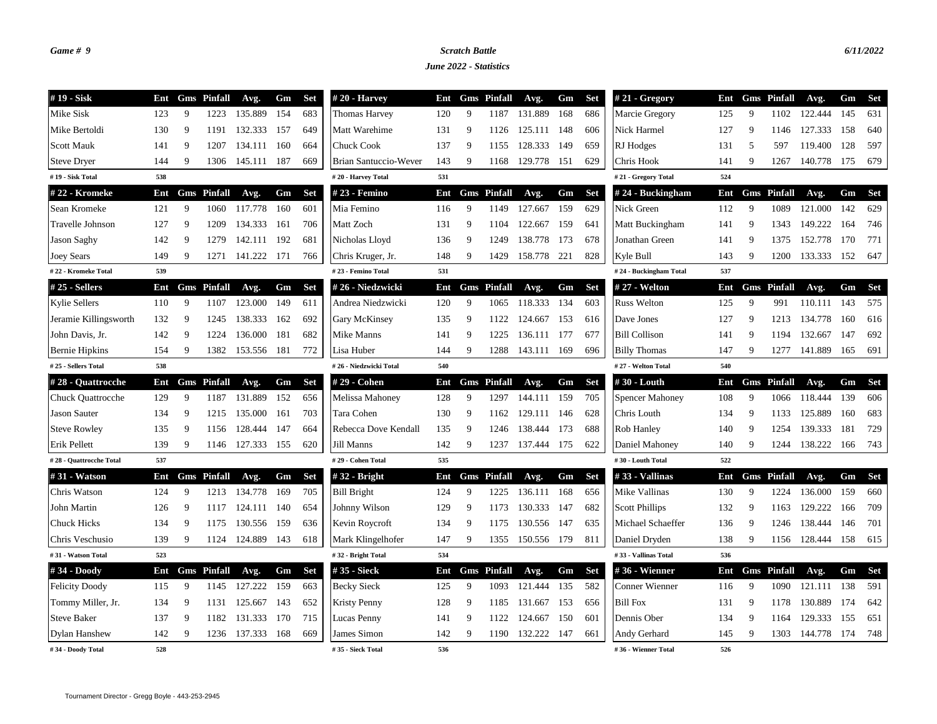## *Game # 9 Scratch Battle 6/11/2022*

*June 2022 - Statistics*

| #19 - Sisk               | Ent |   | <b>Gms</b> Pinfall | Avg.             | Gm  | Set        | $#20$ - Harvey         | Ent |   | <b>Gms</b> Pinfall | Avg.             | Gm  | <b>Set</b> | $#21 - Gregory$        |     |    | Ent Gms Pinfall    | Avg.             | Gm  | Set |
|--------------------------|-----|---|--------------------|------------------|-----|------------|------------------------|-----|---|--------------------|------------------|-----|------------|------------------------|-----|----|--------------------|------------------|-----|-----|
| Mike Sisk                | 123 | 9 | 1223               | 135.889          | 154 | 683        | Thomas Harvey          | 120 | 9 | 1187               | 131.889          | 168 | 686        | Marcie Gregory         | 125 | 9  | 1102               | 122.444          | 145 | 631 |
| Mike Bertoldi            | 130 | 9 | 1191               | 132.333          | 157 | 649        | Matt Warehime          | 131 | 9 | 1126               | 125.111          | 148 | 606        | Nick Harmel            | 127 | 9  | 1146               | 127.333          | 158 | 640 |
| <b>Scott Mauk</b>        | 141 | 9 | 1207               | 134.111          | 160 | 664        | <b>Chuck Cook</b>      | 137 | 9 | 1155               | 128.333          | 149 | 659        | RJ Hodges              | 131 | 5  | 597                | 119.400          | 128 | 597 |
| <b>Steve Dryer</b>       | 144 | 9 | 1306               | 145.111 187      |     | 669        | Brian Santuccio-Wever  | 143 | 9 | 1168               | 129.778          | 151 | 629        | Chris Hook             | 141 | 9  | 1267               | 140.778          | 175 | 679 |
| #19 - Sisk Total         | 538 |   |                    |                  |     |            | #20 - Harvey Total     | 531 |   |                    |                  |     |            | #21 - Gregory Total    | 524 |    |                    |                  |     |     |
| #22 - Kromeke            | Ent |   | <b>Gms</b> Pinfall | Avg.             | Gm  | <b>Set</b> | # 23 - Femino          | Ent |   | <b>Gms</b> Pinfall | Avg.             | Gm  | <b>Set</b> | $# 24 - Buckingham$    | Ent |    | <b>Gms</b> Pinfall | Avg.             | Gm  | Set |
| Sean Kromeke             | 121 | 9 | 1060               | 117.778          | 160 | 601        | Mia Femino             | 116 | 9 | 1149               | 127.667          | 159 | 629        | Nick Green             | 112 | 9  | 1089               | 121.000          | 142 | 629 |
| Travelle Johnson         | 127 | 9 | 1209               | 134.333          | 161 | 706        | Matt Zoch              | 131 | 9 | 1104               | 122.667          | 159 | 641        | Matt Buckingham        | 141 | 9  | 1343               | 149.222          | 164 | 746 |
| Jason Saghy              | 142 | 9 | 1279               | 142.111          | 192 | 681        | Nicholas Lloyd         | 136 | 9 | 1249               | 138.778          | 173 | 678        | Jonathan Green         | 141 | 9  | 1375               | 152.778          | 170 | 771 |
| <b>Joey Sears</b>        | 149 | 9 | 1271               | 141.222 171      |     | 766        | Chris Kruger, Jr.      | 148 | 9 | 1429               | 158.778          | 221 | 828        | Kyle Bull              | 143 | 9  | 1200               | 133.333          | 152 | 647 |
| #22 - Kromeke Total      | 539 |   |                    |                  |     |            | #23 - Femino Total     | 531 |   |                    |                  |     |            | #24 - Buckingham Total | 537 |    |                    |                  |     |     |
| #25 - Sellers            | Ent |   | <b>Gms</b> Pinfall | Avg.             | Gm  | <b>Set</b> | #26 - Niedzwicki       | Ent |   | <b>Gms</b> Pinfall | Avg.             | Gm  | <b>Set</b> | # 27 - Welton          | Ent |    | <b>Gms</b> Pinfall | Avg.             | Gm  | Set |
| <b>Kylie Sellers</b>     | 110 | 9 | 1107               | 123.000          | 149 | 611        | Andrea Niedzwicki      | 120 | 9 | 1065               | 118.333          | 134 | 603        | <b>Russ Welton</b>     | 125 | 9  | 991                | 110.111          | 143 | 575 |
| Jeramie Killingsworth    | 132 | 9 | 1245               | 138.333          | 162 | 692        | Gary McKinsey          | 135 | 9 | 1122               | 124.667          | 153 | 616        | Dave Jones             | 127 | 9  | 1213               | 134.778          | 160 | 616 |
| John Davis, Jr.          | 142 | 9 | 1224               | 136.000          | 181 | 682        | Mike Manns             | 141 | 9 | 1225               | 136.111          | 177 | 677        | <b>Bill Collison</b>   | 141 | 9  | 1194               | 132.667          | 147 | 692 |
| <b>Bernie Hipkins</b>    | 154 | 9 | 1382               | 153.556          | 181 | 772        | Lisa Huber             | 144 | 9 | 1288               | 143.111          | 169 | 696        | <b>Billy Thomas</b>    | 147 | 9  | 1277               | 141.889          | 165 | 691 |
| #25 - Sellers Total      | 538 |   |                    |                  |     |            | #26 - Niedzwicki Total | 540 |   |                    |                  |     |            | #27 - Welton Total     | 540 |    |                    |                  |     |     |
| #28 - Quattrocche        | Ent |   | <b>Gms</b> Pinfall | Avg.             | Gm  | <b>Set</b> | # 29 - Cohen           | Ent |   | <b>Gms</b> Pinfall | Avg.             | Gm  | <b>Set</b> | #30 - Louth            | Ent |    | <b>Gms</b> Pinfall | Avg.             | Gm  | Set |
| <b>Chuck Quattrocche</b> | 129 | 9 | 1187               | 131.889          | 152 | 656        | Melissa Mahoney        | 128 | 9 | 1297               | 144.111          | 159 | 705        | <b>Spencer Mahoney</b> | 108 | 9  | 1066               | 118.444          | 139 | 606 |
| <b>Jason Sauter</b>      | 134 | 9 | 1215               | 135.000          | 161 | 703        | Tara Cohen             | 130 | 9 | 1162               | 129.111          | 146 | 628        | Chris Louth            | 134 | 9  | 1133               | 125.889          | 160 | 683 |
| <b>Steve Rowley</b>      | 135 | 9 | 1156               | 128.444          | 147 | 664        | Rebecca Dove Kendall   | 135 | 9 | 1246               | 138.444          | 173 | 688        | Rob Hanley             | 140 | 9  | 1254               | 139.333          | 181 | 729 |
| Erik Pellett             | 139 | 9 | 1146               | 127.333          | 155 | 620        | Jill Manns             | 142 | 9 | 1237               | 137.444          | 175 | 622        | Daniel Mahoney         | 140 | 9  | 1244               | 138.222          | 166 | 743 |
| #28 - Quattrocche Total  | 537 |   |                    |                  |     |            | #29 - Cohen Total      | 535 |   |                    |                  |     |            | #30 - Louth Total      | 522 |    |                    |                  |     |     |
| #31 - Watson             | Ent |   | <b>Gms</b> Pinfall | Avg.             | Gm  | Set        | $#32$ - Bright         | Ent |   | <b>Gms</b> Pinfall | Avg.             | Gm  | <b>Set</b> | #33 - Vallinas         | Ent |    | <b>Gms</b> Pinfall | Avg.             | Gm  | Set |
| Chris Watson             | 124 | 9 | 1213               | 134.778          | 169 | 705        | <b>Bill Bright</b>     | 124 | 9 | 1225               | 136.111 168      |     | 656        | Mike Vallinas          | 130 | 9  | 1224               | 136.000          | 159 | 660 |
| John Martin              | 126 | 9 | 1117               | 124.111          | 140 | 654        | Johnny Wilson          | 129 | 9 | 1173               | 130.333 147      |     | 682        | <b>Scott Phillips</b>  | 132 | 9  | 1163               | 129.222          | 166 | 709 |
| <b>Chuck Hicks</b>       | 134 | 9 | 1175               | 130.556 159      |     | 636        | Kevin Roycroft         | 134 | 9 | 1175               | 130.556 147      |     | 635        | Michael Schaeffer      | 136 | -9 | 1246               | 138.444          | 146 | 701 |
| Chris Veschusio          | 139 | 9 |                    | 1124 124.889 143 |     | 618        | Mark Klingelhofer      | 147 | 9 |                    | 1355 150.556 179 |     | 811        | Daniel Dryden          | 138 | 9  |                    | 1156 128.444 158 |     | 615 |
| #31 - Watson Total       | 523 |   |                    |                  |     |            | #32 - Bright Total     | 534 |   |                    |                  |     |            | #33 - Vallinas Total   | 536 |    |                    |                  |     |     |
| #34 - Doody              | Ent |   | <b>Gms</b> Pinfall | Avg.             | Gm  | <b>Set</b> | # 35 - Sieck           | Ent |   | <b>Gms</b> Pinfall | Avg.             | Gm  | <b>Set</b> | #36 - Wienner          |     |    | Ent Gms Pinfall    | Avg.             | Gm  | Set |
| <b>Felicity Doody</b>    | 115 | 9 | 1145               | 127.222          | 159 | 663        | <b>Becky Sieck</b>     | 125 | 9 | 1093               | 121.444          | 135 | 582        | Conner Wienner         | 116 | 9  | 1090               | 121.111          | 138 | 591 |
| Tommy Miller, Jr.        | 134 | 9 | 1131               | 125.667          | 143 | 652        | <b>Kristy Penny</b>    | 128 | 9 | 1185               | 131.667          | 153 | 656        | <b>Bill Fox</b>        | 131 | 9  | 1178               | 130.889          | 174 | 642 |
| <b>Steve Baker</b>       | 137 | 9 | 1182               | 131.333          | 170 | 715        | Lucas Penny            | 141 | 9 | 1122               | 124.667          | 150 | 601        | Dennis Ober            | 134 | 9  | 1164               | 129.333          | 155 | 651 |
| <b>Dylan Hanshew</b>     | 142 | 9 | 1236               | 137.333          | 168 | 669        | James Simon            | 142 | 9 | 1190               | 132.222          | 147 | 661        | Andy Gerhard           | 145 | 9  | 1303               | 144.778          | 174 | 748 |
| #34 - Doody Total        | 528 |   |                    |                  |     |            | #35 - Sieck Total      | 536 |   |                    |                  |     |            | #36 - Wienner Total    | 526 |    |                    |                  |     |     |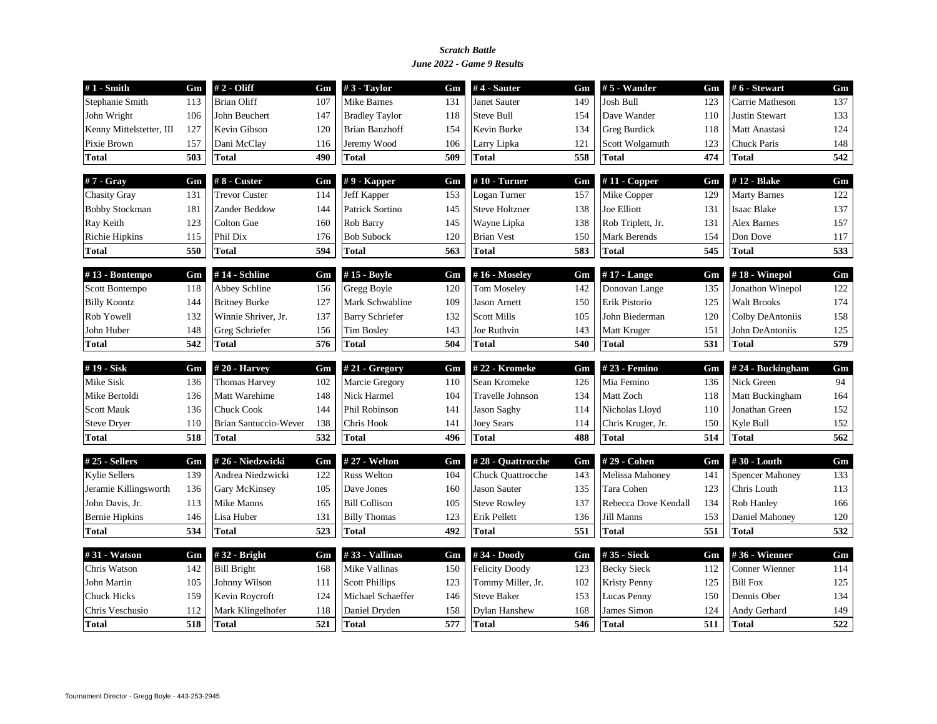### *June 2022 - Game 9 Results Scratch Battle*

| $#1$ - Smith             | Gm  | # 2 - Oliff                  | Gm  | $#3$ - Taylor          | Gm  | #4 - Sauter           | Gm  | $# 5$ - Wander       | Gm  | # 6 - Stewart          | Gm               |
|--------------------------|-----|------------------------------|-----|------------------------|-----|-----------------------|-----|----------------------|-----|------------------------|------------------|
| Stephanie Smith          | 113 | <b>Brian Oliff</b>           | 107 | <b>Mike Barnes</b>     | 131 | <b>Janet Sauter</b>   | 149 | <b>Josh Bull</b>     | 123 | Carrie Matheson        | 137              |
| John Wright              | 106 | John Beuchert                | 147 | <b>Bradley Taylor</b>  | 118 | <b>Steve Bull</b>     | 154 | Dave Wander          | 110 | <b>Justin Stewart</b>  | 133              |
| Kenny Mittelstetter, III | 127 | Kevin Gibson                 | 120 | <b>Brian Banzhoff</b>  | 154 | Kevin Burke           | 134 | Greg Burdick         | 118 | Matt Anastasi          | 124              |
| Pixie Brown              | 157 | Dani McClay                  | 116 | Jeremy Wood            | 106 | Larry Lipka           | 121 | Scott Wolgamuth      | 123 | <b>Chuck Paris</b>     | 148              |
| <b>Total</b>             | 503 | Total                        | 490 | <b>Total</b>           | 509 | <b>Total</b>          | 558 | <b>Total</b>         | 474 | Total                  | 542              |
| #7 - Gray                | Gm  | #8 - Custer                  | Gm  | $# 9$ - Kapper         | Gm  | $#10$ - Turner        | Gm  | $#11$ - Copper       | Gm  | #12 - Blake            | Gm               |
| <b>Chasity Gray</b>      | 131 | <b>Trevor Custer</b>         | 114 | Jeff Kapper            | 153 | Logan Turner          | 157 | Mike Copper          | 129 | <b>Marty Barnes</b>    | 122              |
| <b>Bobby Stockman</b>    | 181 | Zander Beddow                | 144 | Patrick Sortino        | 145 | <b>Steve Holtzner</b> | 138 | <b>Joe Elliott</b>   | 131 | <b>Isaac Blake</b>     | 137              |
| Ray Keith                | 123 | Colton Gue                   | 160 | Rob Barry              | 145 | Wayne Lipka           | 138 | Rob Triplett, Jr.    | 131 | <b>Alex Barnes</b>     | 157              |
| <b>Richie Hipkins</b>    | 115 | Phil Dix                     | 176 | <b>Bob Subock</b>      | 120 | <b>Brian Vest</b>     | 150 | Mark Berends         | 154 | Don Dove               | 117              |
| Total                    | 550 | <b>Total</b>                 | 594 | <b>Total</b>           | 563 | <b>Total</b>          | 583 | <b>Total</b>         | 545 | <b>Total</b>           | 533              |
| #13 - Bontempo           | Gm  | #14 - Schline                | Gm  | #15 - Boyle            | Gm  | #16 - Moseley         | Gm  | $#17$ - Lange        | Gm  | $#18$ - Winepol        | Gm               |
| Scott Bontempo           | 118 | Abbey Schline                | 156 | <b>Gregg Boyle</b>     | 120 | Tom Moseley           | 142 | Donovan Lange        | 135 | Jonathon Winepol       | 122              |
| <b>Billy Koontz</b>      | 144 | <b>Britney Burke</b>         | 127 | Mark Schwabline        | 109 | <b>Jason Arnett</b>   | 150 | Erik Pistorio        | 125 | <b>Walt Brooks</b>     | 174              |
| Rob Yowell               | 132 | Winnie Shriver, Jr.          | 137 | <b>Barry Schriefer</b> | 132 | <b>Scott Mills</b>    | 105 | John Biederman       | 120 | Colby DeAntoniis       | 158              |
| John Huber               | 148 | Greg Schriefer               | 156 | <b>Tim Bosley</b>      | 143 | Joe Ruthvin           | 143 | Matt Kruger          | 151 | John DeAntoniis        | 125              |
| <b>Total</b>             | 542 | <b>Total</b>                 | 576 | <b>Total</b>           | 504 | <b>Total</b>          | 540 | <b>Total</b>         | 531 | Total                  | 579              |
| #19 - Sisk               | Gm  | #20 - Harvey                 | Gm  | $#21 - Gregory$        | Gm  | #22 - Kromeke         | Gm  | #23 - Femino         | Gm  | #24 - Buckingham       | Gm               |
| Mike Sisk                | 136 | <b>Thomas Harvey</b>         | 102 | Marcie Gregory         | 110 | Sean Kromeke          | 126 | Mia Femino           | 136 | Nick Green             | 94               |
| Mike Bertoldi            | 136 | Matt Warehime                | 148 | Nick Harmel            | 104 | Travelle Johnson      | 134 | Matt Zoch            | 118 | Matt Buckingham        | 164              |
| <b>Scott Mauk</b>        | 136 | <b>Chuck Cook</b>            | 144 | Phil Robinson          | 141 | <b>Jason Saghy</b>    | 114 | Nicholas Lloyd       | 110 | Jonathan Green         | 152              |
| <b>Steve Dryer</b>       | 110 | <b>Brian Santuccio-Wever</b> | 138 | Chris Hook             | 141 | Joey Sears            | 114 | Chris Kruger, Jr.    | 150 | Kyle Bull              | 152              |
| <b>Total</b>             | 518 | <b>Total</b>                 | 532 | <b>Total</b>           | 496 | <b>Total</b>          | 488 | <b>Total</b>         | 514 | Total                  | 562              |
|                          |     |                              |     |                        |     |                       |     |                      |     |                        |                  |
| $#25$ - Sellers          | Gm  | #26 - Niedzwicki             | Gm  | # 27 - Welton          | Gm  | #28 - Quattrocche     | Gm  | #29 - Cohen          | Gm  | # $30 -$ Louth         | Gm               |
| <b>Kylie Sellers</b>     | 139 | Andrea Niedzwicki            | 122 | <b>Russ Welton</b>     | 104 | Chuck Quattrocche     | 143 | Melissa Mahoney      | 141 | <b>Spencer Mahoney</b> | 133              |
| Jeramie Killingsworth    | 136 | Gary McKinsey                | 105 | Dave Jones             | 160 | <b>Jason Sauter</b>   | 135 | Tara Cohen           | 123 | Chris Louth            | 113              |
| John Davis, Jr.          | 113 | Mike Manns                   | 165 | <b>Bill Collison</b>   | 105 | <b>Steve Rowley</b>   | 137 | Rebecca Dove Kendall | 134 | Rob Hanley             | 166              |
| <b>Bernie Hipkins</b>    | 146 | Lisa Huber                   | 131 | <b>Billy Thomas</b>    | 123 | Erik Pellett          | 136 | Jill Manns           | 153 | Daniel Mahoney         | 120              |
| <b>Total</b>             | 534 | <b>Total</b>                 | 523 | <b>Total</b>           | 492 | <b>Total</b>          | 551 | <b>Total</b>         | 551 | Total                  | $\overline{532}$ |
| #31 - Watson             | Gm  | #32 - Bright                 | Gm  | #33 - Vallinas         | Gm  | #34 - Doody           | Gm  | #35 - Sieck          | Gm  | #36 - Wienner          | Gm               |
| Chris Watson             | 142 | <b>Bill Bright</b>           | 168 | Mike Vallinas          | 150 | <b>Felicity Doody</b> | 123 | <b>Becky Sieck</b>   | 112 | Conner Wienner         | 114              |
| <b>John Martin</b>       | 105 | Johnny Wilson                | 111 | <b>Scott Phillips</b>  | 123 | Tommy Miller, Jr.     | 102 | <b>Kristy Penny</b>  | 125 | <b>Bill Fox</b>        | 125              |
| <b>Chuck Hicks</b>       | 159 | Kevin Roycroft               | 124 | Michael Schaeffer      | 146 | <b>Steve Baker</b>    | 153 | Lucas Penny          | 150 | Dennis Ober            | 134              |
| Chris Veschusio          | 112 | Mark Klingelhofer            | 118 | Daniel Dryden          | 158 | Dylan Hanshew         | 168 | James Simon          | 124 | Andy Gerhard           | 149              |